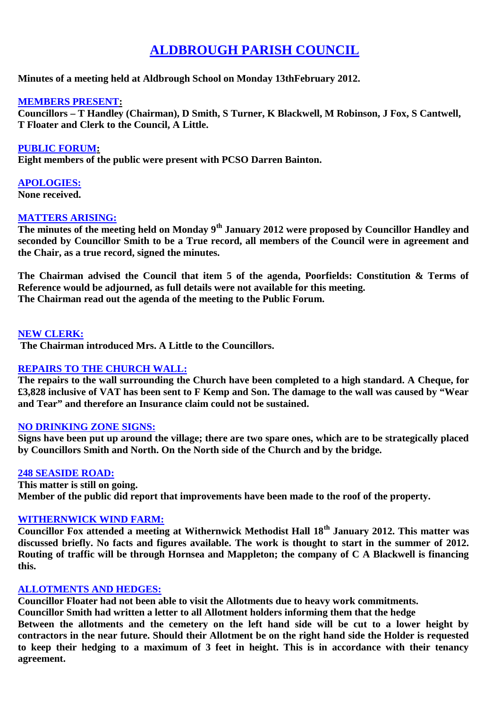# **ALDBROUGH PARISH COUNCIL**

**Minutes of a meeting held at Aldbrough School on Monday 13thFebruary 2012.**

## **MEMBERS PRESENT:**

**Councillors – T Handley (Chairman), D Smith, S Turner, K Blackwell, M Robinson, J Fox, S Cantwell, T Floater and Clerk to the Council, A Little.**

**PUBLIC FORUM: Eight members of the public were present with PCSO Darren Bainton.**

**APOLOGIES: None received.**

## **MATTERS ARISING:**

**The minutes of the meeting held on Monday 9th January 2012 were proposed by Councillor Handley and seconded by Councillor Smith to be a True record, all members of the Council were in agreement and the Chair, as a true record, signed the minutes.**

**The Chairman advised the Council that item 5 of the agenda, Poorfields: Constitution & Terms of Reference would be adjourned, as full details were not available for this meeting. The Chairman read out the agenda of the meeting to the Public Forum.**

# **NEW CLERK:**

**The Chairman introduced Mrs. A Little to the Councillors.**

# **REPAIRS TO THE CHURCH WALL:**

**The repairs to the wall surrounding the Church have been completed to a high standard. A Cheque, for £3,828 inclusive of VAT has been sent to F Kemp and Son. The damage to the wall was caused by "Wear and Tear" and therefore an Insurance claim could not be sustained.**

#### **NO DRINKING ZONE SIGNS:**

**Signs have been put up around the village; there are two spare ones, which are to be strategically placed by Councillors Smith and North. On the North side of the Church and by the bridge.**

#### **248 SEASIDE ROAD:**

**This matter is still on going. Member of the public did report that improvements have been made to the roof of the property.**

#### **WITHERNWICK WIND FARM:**

**Councillor Fox attended a meeting at Withernwick Methodist Hall 18th January 2012. This matter was discussed briefly. No facts and figures available. The work is thought to start in the summer of 2012. Routing of traffic will be through Hornsea and Mappleton; the company of C A Blackwell is financing this.**

#### **ALLOTMENTS AND HEDGES:**

**Councillor Floater had not been able to visit the Allotments due to heavy work commitments.**

**Councillor Smith had written a letter to all Allotment holders informing them that the hedge**

**Between the allotments and the cemetery on the left hand side will be cut to a lower height by contractors in the near future. Should their Allotment be on the right hand side the Holder is requested to keep their hedging to a maximum of 3 feet in height. This is in accordance with their tenancy agreement.**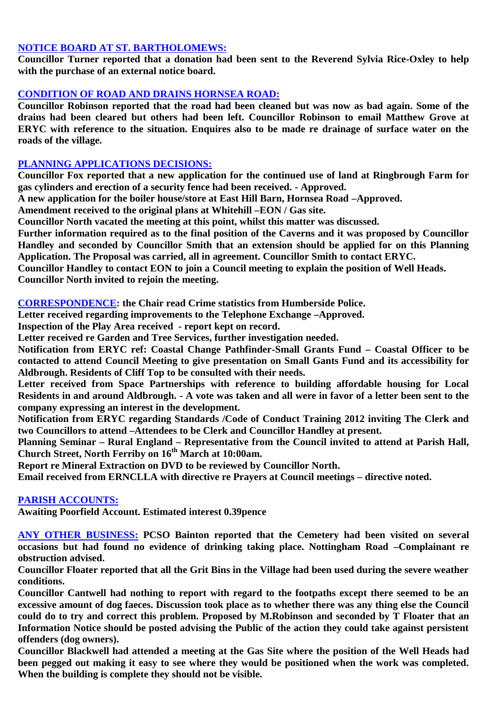## **NOTICE BOARD AT ST. BARTHOLOMEWS:**

**Councillor Turner reported that a donation had been sent to the Reverend Sylvia Rice-Oxley to help with the purchase of an external notice board.**

## **CONDITION OF ROAD AND DRAINS HORNSEA ROAD:**

**Councillor Robinson reported that the road had been cleaned but was now as bad again. Some of the drains had been cleared but others had been left. Councillor Robinson to email Matthew Grove at ERYC with reference to the situation. Enquires also to be made re drainage of surface water on the roads of the village.**

## **PLANNING APPLICATIONS DECISIONS:**

**Councillor Fox reported that a new application for the continued use of land at Ringbrough Farm for gas cylinders and erection of a security fence had been received. - Approved.**

**A new application for the boiler house/store at East Hill Barn, Hornsea Road –Approved.**

**Amendment received to the original plans at Whitehill –EON / Gas site.**

**Councillor North vacated the meeting at this point, whilst this matter was discussed.**

**Further information required as to the final position of the Caverns and it was proposed by Councillor Handley and seconded by Councillor Smith that an extension should be applied for on this Planning Application. The Proposal was carried, all in agreement. Councillor Smith to contact ERYC.**

**Councillor Handley to contact EON to join a Council meeting to explain the position of Well Heads. Councillor North invited to rejoin the meeting.**

**CORRESPONDENCE: the Chair read Crime statistics from Humberside Police.**

**Letter received regarding improvements to the Telephone Exchange –Approved.**

**Inspection of the Play Area received - report kept on record.**

**Letter received re Garden and Tree Services, further investigation needed.**

**Notification from ERYC ref: Coastal Change Pathfinder-Small Grants Fund – Coastal Officer to be contacted to attend Council Meeting to give presentation on Small Gants Fund and its accessibility for Aldbrough. Residents of Cliff Top to be consulted with their needs.**

**Letter received from Space Partnerships with reference to building affordable housing for Local Residents in and around Aldbrough. - A vote was taken and all were in favor of a letter been sent to the company expressing an interest in the development.**

**Notification from ERYC regarding Standards /Code of Conduct Training 2012 inviting The Clerk and two Councillors to attend –Attendees to be Clerk and Councillor Handley at present.**

**Planning Seminar – Rural England – Representative from the Council invited to attend at Parish Hall, Church Street, North Ferriby on 16th March at 10:00am.**

**Report re Mineral Extraction on DVD to be reviewed by Councillor North.**

**Email received from ERNCLLA with directive re Prayers at Council meetings – directive noted.**

#### **PARISH ACCOUNTS:**

**Awaiting Poorfield Account. Estimated interest 0.39pence**

**ANY OTHER BUSINESS: PCSO Bainton reported that the Cemetery had been visited on several occasions but had found no evidence of drinking taking place. Nottingham Road –Complainant re obstruction advised.**

**Councillor Floater reported that all the Grit Bins in the Village had been used during the severe weather conditions.**

**Councillor Cantwell had nothing to report with regard to the footpaths except there seemed to be an excessive amount of dog faeces. Discussion took place as to whether there was any thing else the Council could do to try and correct this problem. Proposed by M.Robinson and seconded by T Floater that an Information Notice should be posted advising the Public of the action they could take against persistent offenders (dog owners).**

**Councillor Blackwell had attended a meeting at the Gas Site where the position of the Well Heads had been pegged out making it easy to see where they would be positioned when the work was completed. When the building is complete they should not be visible.**